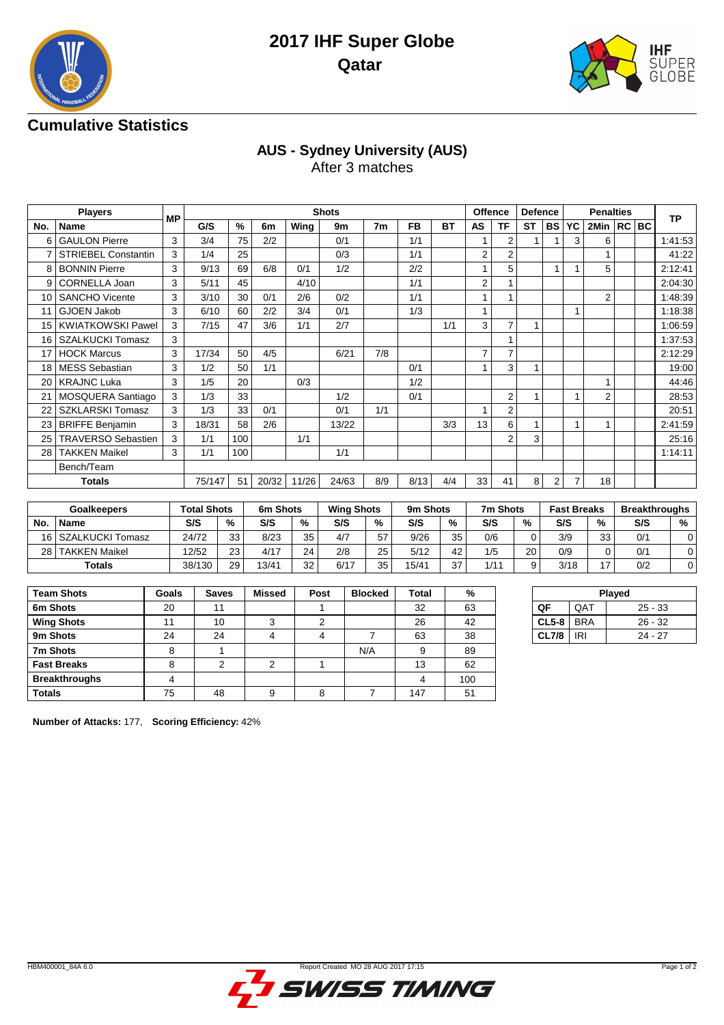



## **Cumulative Statistics**

# **AUS - Sydney University (AUS)**

After 3 matches

|     | <b>Players</b>             |    |        |      |       |       | <b>Shots</b> |                |           |           | Offence        |                | Defence   |                |    | <b>Penalties</b> |  |           |
|-----|----------------------------|----|--------|------|-------|-------|--------------|----------------|-----------|-----------|----------------|----------------|-----------|----------------|----|------------------|--|-----------|
| No. | Name                       | МP | G/S    | $\%$ | 6m    | Wing  | 9m           | 7 <sub>m</sub> | <b>FB</b> | <b>BT</b> | <b>AS</b>      | TF             | <b>ST</b> | <b>BS</b>      | YC | 2Min   RC   BC   |  | <b>TP</b> |
| 6   | <b>GAULON Pierre</b>       | 3  | 3/4    | 75   | 2/2   |       | 0/1          |                | 1/1       |           |                | 2              |           |                | 3  | 6                |  | 1:41:53   |
|     | <b>STRIEBEL Constantin</b> | 3  | 1/4    | 25   |       |       | 0/3          |                | 1/1       |           | 2              | 2              |           |                |    | 1                |  | 41:22     |
| 8   | <b>BONNIN Pierre</b>       | 3  | 9/13   | 69   | 6/8   | 0/1   | 1/2          |                | 2/2       |           | 1              | 5              |           |                |    | 5                |  | 2:12:41   |
| 9   | CORNELLA Joan              | 3  | 5/11   | 45   |       | 4/10  |              |                | 1/1       |           | 2              |                |           |                |    |                  |  | 2:04:30   |
| 10  | <b>SANCHO Vicente</b>      | 3  | 3/10   | 30   | 0/1   | 2/6   | 0/2          |                | 1/1       |           | 1              |                |           |                |    | 2                |  | 1:48:39   |
|     | <b>GJOEN Jakob</b>         | 3  | 6/10   | 60   | 2/2   | 3/4   | 0/1          |                | 1/3       |           | 1              |                |           |                |    |                  |  | 1:18:38   |
| 15  | <b>KWIATKOWSKI Pawel</b>   | 3  | 7/15   | 47   | 3/6   | 1/1   | 2/7          |                |           | 1/1       | 3              | $\overline{7}$ |           |                |    |                  |  | 1:06:59   |
| 16  | <b>SZALKUCKI Tomasz</b>    | 3  |        |      |       |       |              |                |           |           |                |                |           |                |    |                  |  | 1:37:53   |
| 17  | <b>HOCK Marcus</b>         | 3  | 17/34  | 50   | 4/5   |       | 6/21         | 7/8            |           |           | $\overline{7}$ | $\overline{7}$ |           |                |    |                  |  | 2:12:29   |
| 18  | <b>MESS Sebastian</b>      | 3  | 1/2    | 50   | 1/1   |       |              |                | 0/1       |           | 1              | 3              |           |                |    |                  |  | 19:00     |
| 20  | <b>KRAJNC Luka</b>         | 3  | 1/5    | 20   |       | 0/3   |              |                | 1/2       |           |                |                |           |                |    | 1                |  | 44:46     |
| 21  | MOSQUERA Santiago          | 3  | 1/3    | 33   |       |       | 1/2          |                | 0/1       |           |                | 2              |           |                |    | 2                |  | 28:53     |
| 22  | <b>SZKLARSKI Tomasz</b>    | 3  | 1/3    | 33   | 0/1   |       | 0/1          | 1/1            |           |           | 1              | $\overline{2}$ |           |                |    |                  |  | 20:51     |
| 23  | <b>BRIFFE Benjamin</b>     | 3  | 18/31  | 58   | 2/6   |       | 13/22        |                |           | 3/3       | 13             | 6              |           |                |    |                  |  | 2:41:59   |
| 25  | <b>TRAVERSO Sebastien</b>  | 3  | 1/1    | 100  |       | 1/1   |              |                |           |           |                | $\overline{2}$ | 3         |                |    |                  |  | 25:16     |
| 28  | <b>TAKKEN Maikel</b>       | 3  | 1/1    | 100  |       |       | 1/1          |                |           |           |                |                |           |                |    |                  |  | 1:14:11   |
|     | Bench/Team                 |    |        |      |       |       |              |                |           |           |                |                |           |                |    |                  |  |           |
|     | <b>Totals</b>              |    | 75/147 | 51   | 20/32 | 11/26 | 24/63        | 8/9            | 8/13      | 4/4       | 33             | 41             | 8         | 2 <sup>1</sup> |    | 18               |  |           |

|     | <b>Goalkeepers</b>   |        | Total Shots |       | 6m Shots      |      | <b>Wing Shots</b> |       | 9m Shots |      | 7m Shots | <b>Fast Breaks</b> |    | <b>Breakthroughs</b> |   |
|-----|----------------------|--------|-------------|-------|---------------|------|-------------------|-------|----------|------|----------|--------------------|----|----------------------|---|
| No. | <b>Name</b>          | S/S    | %           | S/S   | $\frac{0}{2}$ | S/S  | %                 | S/S   | %        | S/S  | %        | S/S                | %  | S/S                  | % |
|     | 16 SZALKUCKI Tomasz  | 24/72  | 33          | 8/23  | 35            | 4/7  | 57                | 9/26  | 35       | 0/6  | 0        | 3/9                | 33 | 0/1                  |   |
| 28  | <b>TAKKEN Maikel</b> | 12/52  | 23          | 4/17  | 24            | 2/8  | 25                | 5/12  | 42       | 1/5  | 20       | 0/9                |    | 0/1                  |   |
|     | Totals               | 38/130 | 29          | 13/41 | 32            | 6/17 | へへ                | 15/41 | 37       | 1/11 | 9        | 3/18               | 17 | 0/2                  |   |

| <b>Team Shots</b>    | Goals | <b>Saves</b> | <b>Missed</b> | Post | <b>Blocked</b> | Total | %   |
|----------------------|-------|--------------|---------------|------|----------------|-------|-----|
| 6m Shots             | 20    | 11           |               |      |                | 32    | 63  |
| <b>Wing Shots</b>    | 11    | 10           | ◠             | 2    |                | 26    | 42  |
| 9m Shots             | 24    | 24           |               |      |                | 63    | 38  |
| 7m Shots             | 8     |              |               |      | N/A            | 9     | 89  |
| <b>Fast Breaks</b>   | 8     | っ            | ◠             |      |                | 13    | 62  |
| <b>Breakthroughs</b> | 4     |              |               |      |                | 4     | 100 |
| <b>Totals</b>        | 75    | 48           | 9             | 8    |                | 147   | 51  |

| Played       |     |           |  |  |  |  |  |  |  |  |  |
|--------------|-----|-----------|--|--|--|--|--|--|--|--|--|
| OF           | QAT | $25 - 33$ |  |  |  |  |  |  |  |  |  |
| $CL5-8$ BRA  |     | $26 - 32$ |  |  |  |  |  |  |  |  |  |
| <b>CL7/8</b> | IRI | $24 - 27$ |  |  |  |  |  |  |  |  |  |
|              |     |           |  |  |  |  |  |  |  |  |  |

**Number of Attacks:** 177, **Scoring Efficiency:** 42%